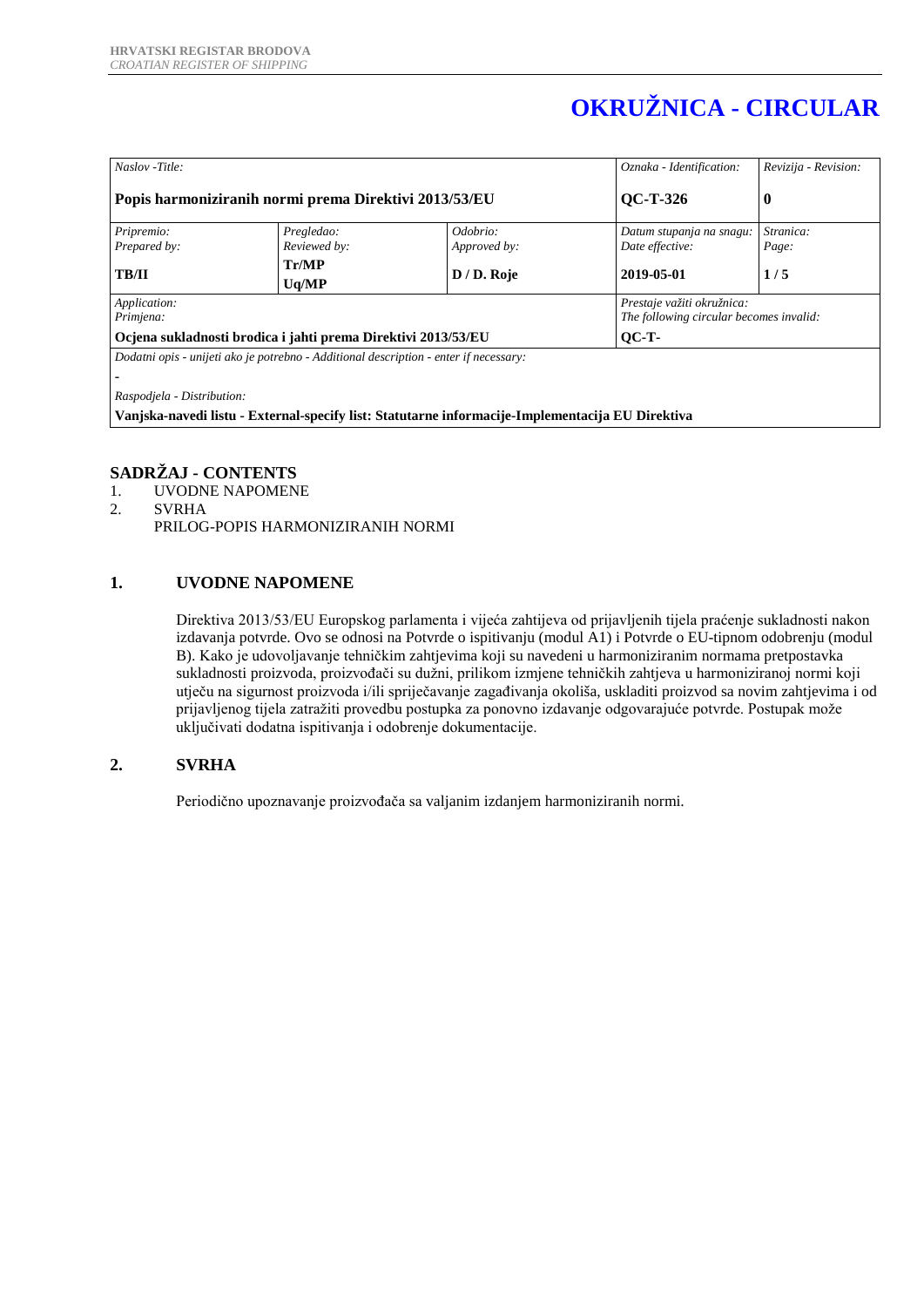# **OKRUŽNICA - CIRCULAR**

| Naslov -Title:                                                                                   |                            |                          | Oznaka - Identification:                                              | Revizija - Revision: |  |
|--------------------------------------------------------------------------------------------------|----------------------------|--------------------------|-----------------------------------------------------------------------|----------------------|--|
| Popis harmoniziranih normi prema Direktivi 2013/53/EU                                            |                            |                          | <b>QC-T-326</b>                                                       | $\bf{0}$             |  |
| Pripremio:<br>Prepared by:                                                                       | Pregledao:<br>Reviewed by: | Odobrio:<br>Approved by: | Datum stupanja na snagu:<br>Date effective:                           | Stranica:<br>Page:   |  |
| <b>TB/II</b>                                                                                     | Tr/MP<br>Uq/MP             | D / D. Roje              | 2019-05-01                                                            | 1/5                  |  |
| Application:<br>Primjena:                                                                        |                            |                          | Prestaje važiti okružnica:<br>The following circular becomes invalid: |                      |  |
| Ocjena sukladnosti brodica i jahti prema Direktivi 2013/53/EU                                    |                            |                          | $OC-T$                                                                |                      |  |
| Dodatni opis - unijeti ako je potrebno - Additional description - enter if necessary:            |                            |                          |                                                                       |                      |  |
|                                                                                                  |                            |                          |                                                                       |                      |  |
| Raspodjela - Distribution:                                                                       |                            |                          |                                                                       |                      |  |
| Vanjska-navedi listu - External-specify list: Statutarne informacije-Implementacija EU Direktiva |                            |                          |                                                                       |                      |  |

# **SADRŽAJ - CONTENTS**

- 1. UVODNE NAPOMENE
- 2. SVRHA PRILOG-POPIS HARMONIZIRANIH NORMI

# **1. UVODNE NAPOMENE**

Direktiva 2013/53/EU Europskog parlamenta i vijeća zahtijeva od prijavljenih tijela praćenje sukladnosti nakon izdavanja potvrde. Ovo se odnosi na Potvrde o ispitivanju (modul A1) i Potvrde o EU-tipnom odobrenju (modul B). Kako je udovoljavanje tehničkim zahtjevima koji su navedeni u harmoniziranim normama pretpostavka sukladnosti proizvoda, proizvođači su dužni, prilikom izmjene tehničkih zahtjeva u harmoniziranoj normi koji utječu na sigurnost proizvoda i/ili spriječavanje zagađivanja okoliša, uskladiti proizvod sa novim zahtjevima i od prijavljenog tijela zatražiti provedbu postupka za ponovno izdavanje odgovarajuće potvrde. Postupak može uključivati dodatna ispitivanja i odobrenje dokumentacije.

# **2. SVRHA**

Periodično upoznavanje proizvođača sa valjanim izdanjem harmoniziranih normi.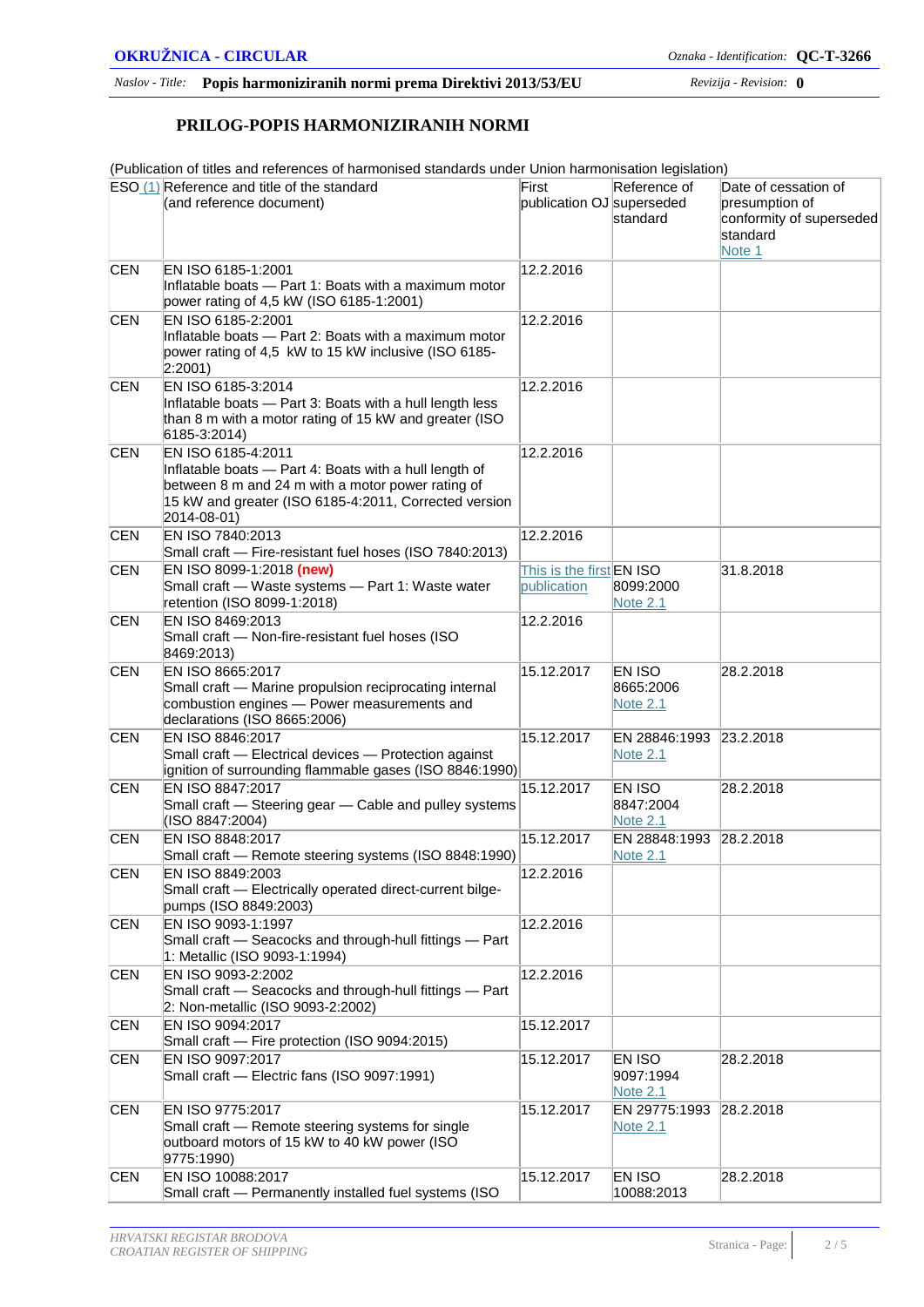#### *Naslov - Title:* **Popis harmoniziranih normi prema Direktivi 2013/53/EU** *Revizija - Revision:* **0**

#### **PRILOG-POPIS HARMONIZIRANIH NORMI**

(Publication of titles and references of harmonised standards under Union harmonisation legislation)

|            | $ESO(1)$ Reference and title of the standard                                                                                                                                                              | First                     | Reference of                                  | Date of cessation of                                   |
|------------|-----------------------------------------------------------------------------------------------------------------------------------------------------------------------------------------------------------|---------------------------|-----------------------------------------------|--------------------------------------------------------|
|            | (and reference document)                                                                                                                                                                                  | publication OJ superseded | standard                                      | presumption of<br>conformity of superseded<br>standard |
|            |                                                                                                                                                                                                           |                           |                                               | Note 1                                                 |
| <b>CEN</b> | EN ISO 6185-1:2001<br>Inflatable boats - Part 1: Boats with a maximum motor<br>power rating of 4,5 kW (ISO 6185-1:2001)                                                                                   | 12.2.2016                 |                                               |                                                        |
| <b>CEN</b> | EN ISO 6185-2:2001                                                                                                                                                                                        | 12.2.2016                 |                                               |                                                        |
|            | Inflatable boats - Part 2: Boats with a maximum motor<br>power rating of 4,5 kW to 15 kW inclusive (ISO 6185-<br>$ 2:2001\rangle$                                                                         |                           |                                               |                                                        |
| <b>CEN</b> | EN ISO 6185-3:2014<br>Inflatable boats - Part 3: Boats with a hull length less<br>than 8 m with a motor rating of 15 kW and greater (ISO<br>6185-3:2014)                                                  | 12.2.2016                 |                                               |                                                        |
| <b>CEN</b> | EN ISO 6185-4:2011<br>Inflatable boats - Part 4: Boats with a hull length of<br>between 8 m and 24 m with a motor power rating of<br>15 kW and greater (ISO 6185-4:2011, Corrected version<br>2014-08-01) | 12.2.2016                 |                                               |                                                        |
| <b>CEN</b> | EN ISO 7840:2013<br>Small craft - Fire-resistant fuel hoses (ISO 7840:2013)                                                                                                                               | 12.2.2016                 |                                               |                                                        |
| <b>CEN</b> | EN ISO 8099-1:2018 (new)                                                                                                                                                                                  | This is the first EN ISO  |                                               | 31.8.2018                                              |
|            | Small craft - Waste systems - Part 1: Waste water<br>retention (ISO 8099-1:2018)                                                                                                                          | publication               | 8099:2000<br>Note 2.1                         |                                                        |
| <b>CEN</b> | EN ISO 8469:2013<br>Small craft - Non-fire-resistant fuel hoses (ISO<br>8469:2013)                                                                                                                        | 12.2.2016                 |                                               |                                                        |
| <b>CEN</b> | EN ISO 8665:2017<br>Small craft - Marine propulsion reciprocating internal<br>combustion engines - Power measurements and<br>declarations (ISO 8665:2006)                                                 | 15.12.2017                | <b>EN ISO</b><br>8665:2006<br><b>Note 2.1</b> | 28.2.2018                                              |
| <b>CEN</b> | EN ISO 8846:2017<br>Small craft - Electrical devices - Protection against<br>ignition of surrounding flammable gases (ISO 8846:1990)                                                                      | 15.12.2017                | EN 28846:1993<br><b>Note 2.1</b>              | 23.2.2018                                              |
| <b>CEN</b> | EN ISO 8847:2017<br>Small craft - Steering gear - Cable and pulley systems<br>(ISO 8847:2004)                                                                                                             | 15.12.2017                | EN ISO<br>8847:2004<br><b>Note 2.1</b>        | 28.2.2018                                              |
| <b>CEN</b> | EN ISO 8848:2017<br>Small craft - Remote steering systems (ISO 8848:1990)                                                                                                                                 | 15.12.2017                | EN 28848:1993<br><b>Note 2.1</b>              | 28.2.2018                                              |
| <b>CEN</b> | EN ISO 8849:2003<br>Small craft - Electrically operated direct-current bilge-<br>pumps (ISO 8849:2003)                                                                                                    | 12.2.2016                 |                                               |                                                        |
| <b>CEN</b> | EN ISO 9093-1:1997<br>Small craft - Seacocks and through-hull fittings - Part<br>1: Metallic (ISO 9093-1:1994)                                                                                            | 12.2.2016                 |                                               |                                                        |
| <b>CEN</b> | EN ISO 9093-2:2002<br>Small craft - Seacocks and through-hull fittings - Part<br>2: Non-metallic (ISO 9093-2:2002)                                                                                        | 12.2.2016                 |                                               |                                                        |
| <b>CEN</b> | EN ISO 9094:2017<br>Small craft - Fire protection (ISO 9094:2015)                                                                                                                                         | 15.12.2017                |                                               |                                                        |
| <b>CEN</b> | EN ISO 9097:2017<br>Small craft - Electric fans (ISO 9097:1991)                                                                                                                                           | 15.12.2017                | EN ISO<br>9097:1994<br><b>Note 2.1</b>        | 28.2.2018                                              |
| <b>CEN</b> | EN ISO 9775:2017<br>Small craft - Remote steering systems for single<br>outboard motors of 15 kW to 40 kW power (ISO<br>9775:1990)                                                                        | 15.12.2017                | EN 29775:1993<br>Note 2.1                     | 28.2.2018                                              |
| <b>CEN</b> | EN ISO 10088:2017<br>Small craft - Permanently installed fuel systems (ISO                                                                                                                                | 15.12.2017                | EN ISO<br>10088:2013                          | 28.2.2018                                              |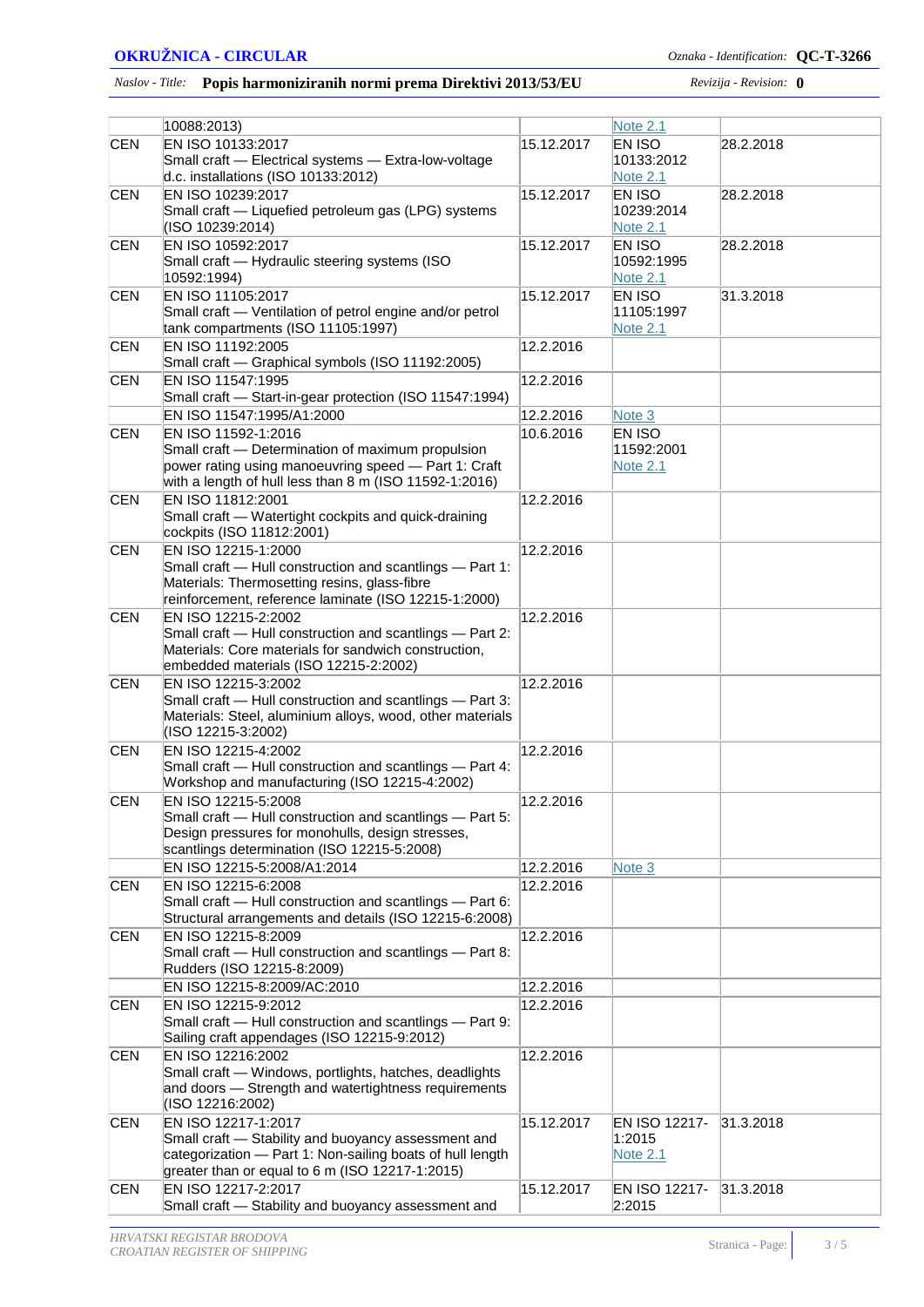#### **OKRUŽNICA - CIRCULAR** *Oznaka - Identification:* **QC-T-3266**

#### *Naslov - Title:* **Popis harmoniziranih normi prema Direktivi 2013/53/EU** *Revizija - Revision:* **0**

|            | 10088:2013)                                                      |            | Note 2.1        |           |
|------------|------------------------------------------------------------------|------------|-----------------|-----------|
| <b>CEN</b> | EN ISO 10133:2017                                                | 15.12.2017 | EN ISO          | 28.2.2018 |
|            | Small craft - Electrical systems - Extra-low-voltage             |            | 10133:2012      |           |
|            | d.c. installations (ISO 10133:2012)                              |            | Note $2.1$      |           |
| <b>CEN</b> | EN ISO 10239:2017                                                | 15.12.2017 | EN ISO          | 28.2.2018 |
|            | Small craft - Liquefied petroleum gas (LPG) systems              |            | 10239:2014      |           |
|            | (ISO 10239:2014)                                                 |            | <b>Note 2.1</b> |           |
| <b>CEN</b> | EN ISO 10592:2017                                                | 15.12.2017 | EN ISO          | 28.2.2018 |
|            | Small craft - Hydraulic steering systems (ISO                    |            | 10592:1995      |           |
|            | 10592:1994)                                                      |            | Note 2.1        |           |
| <b>CEN</b> | EN ISO 11105:2017                                                | 15.12.2017 | EN ISO          | 31.3.2018 |
|            | Small craft - Ventilation of petrol engine and/or petrol         |            | 11105:1997      |           |
|            | tank compartments (ISO 11105:1997)                               |            | <b>Note 2.1</b> |           |
| <b>CEN</b> | EN ISO 11192:2005                                                | 12.2.2016  |                 |           |
|            | Small craft - Graphical symbols (ISO 11192:2005)                 |            |                 |           |
| <b>CEN</b> | EN ISO 11547:1995                                                | 12.2.2016  |                 |           |
|            | Small craft - Start-in-gear protection (ISO 11547:1994)          |            |                 |           |
|            | EN ISO 11547:1995/A1:2000                                        | 12.2.2016  |                 |           |
|            |                                                                  |            | Note 3          |           |
| <b>CEN</b> | EN ISO 11592-1:2016                                              | 10.6.2016  | EN ISO          |           |
|            | Small craft - Determination of maximum propulsion                |            | 11592:2001      |           |
|            | power rating using manoeuvring speed - Part 1: Craft             |            | <b>Note 2.1</b> |           |
|            | with a length of hull less than 8 m (ISO 11592-1:2016)           |            |                 |           |
| <b>CEN</b> | EN ISO 11812:2001                                                | 12.2.2016  |                 |           |
|            | Small craft - Watertight cockpits and quick-draining             |            |                 |           |
|            | cockpits (ISO 11812:2001)                                        |            |                 |           |
| <b>CEN</b> | EN ISO 12215-1:2000                                              | 12.2.2016  |                 |           |
|            | Small craft - Hull construction and scantlings - Part 1:         |            |                 |           |
|            | Materials: Thermosetting resins, glass-fibre                     |            |                 |           |
|            | reinforcement, reference laminate (ISO 12215-1:2000)             |            |                 |           |
| <b>CEN</b> | EN ISO 12215-2:2002                                              | 12.2.2016  |                 |           |
|            | Small craft - Hull construction and scantlings - Part 2:         |            |                 |           |
|            | Materials: Core materials for sandwich construction,             |            |                 |           |
|            | embedded materials (ISO 12215-2:2002)                            |            |                 |           |
| <b>CEN</b> | EN ISO 12215-3:2002                                              | 12.2.2016  |                 |           |
|            | Small craft - Hull construction and scantlings - Part 3:         |            |                 |           |
|            | Materials: Steel, aluminium alloys, wood, other materials        |            |                 |           |
|            | (ISO 12215-3:2002)                                               |            |                 |           |
| <b>CEN</b> | EN ISO 12215-4:2002                                              | 12.2.2016  |                 |           |
|            | Small craft - Hull construction and scantlings - Part 4:         |            |                 |           |
|            | Workshop and manufacturing (ISO 12215-4:2002)                    |            |                 |           |
| <b>CEN</b> | EN ISO 12215-5:2008                                              | 12.2.2016  |                 |           |
|            | Small craft - Hull construction and scantlings - Part 5:         |            |                 |           |
|            | Design pressures for monohulls, design stresses,                 |            |                 |           |
|            | scantlings determination (ISO 12215-5:2008)                      |            |                 |           |
|            | EN ISO 12215-5:2008/A1:2014                                      | 12.2.2016  | Note 3          |           |
| <b>CEN</b> | EN ISO 12215-6:2008                                              | 12.2.2016  |                 |           |
|            | Small craft - Hull construction and scantlings - Part 6:         |            |                 |           |
|            | Structural arrangements and details (ISO 12215-6:2008)           |            |                 |           |
| <b>CEN</b> | EN ISO 12215-8:2009                                              | 12.2.2016  |                 |           |
|            | Small craft - Hull construction and scantlings - Part 8:         |            |                 |           |
|            | Rudders (ISO 12215-8:2009)                                       |            |                 |           |
|            | EN ISO 12215-8:2009/AC:2010                                      | 12.2.2016  |                 |           |
| <b>CEN</b> | EN ISO 12215-9:2012                                              | 12.2.2016  |                 |           |
|            | Small craft - Hull construction and scantlings - Part 9:         |            |                 |           |
|            |                                                                  |            |                 |           |
|            | Sailing craft appendages (ISO 12215-9:2012)<br>EN ISO 12216:2002 |            |                 |           |
| <b>CEN</b> |                                                                  | 12.2.2016  |                 |           |
|            | Small craft - Windows, portlights, hatches, deadlights           |            |                 |           |
|            | and doors - Strength and watertightness requirements             |            |                 |           |
|            | (ISO 12216:2002)                                                 |            |                 |           |
| <b>CEN</b> | EN ISO 12217-1:2017                                              | 15.12.2017 | EN ISO 12217-   | 31.3.2018 |
|            | Small craft - Stability and buoyancy assessment and              |            | 1:2015          |           |
|            | categorization - Part 1: Non-sailing boats of hull length        |            | <b>Note 2.1</b> |           |
|            | greater than or equal to 6 m (ISO 12217-1:2015)                  |            |                 |           |
| <b>CEN</b> | EN ISO 12217-2:2017                                              | 15.12.2017 | EN ISO 12217-   | 31.3.2018 |
|            | Small craft - Stability and buoyancy assessment and              |            | 2:2015          |           |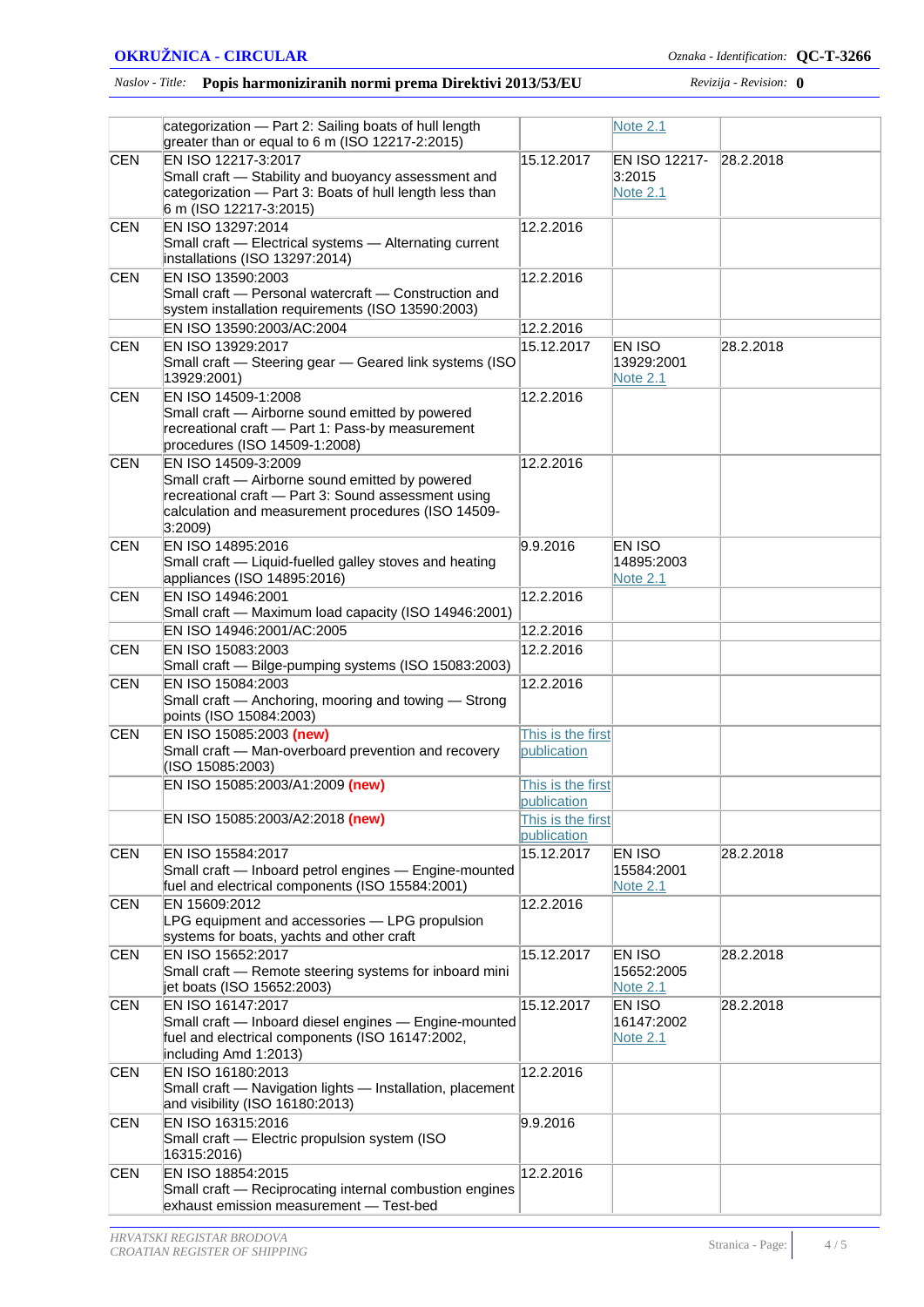#### *Naslov - Title:* **Popis harmoniziranih normi prema Direktivi 2013/53/EU** *Revizija - Revision:* **0**

|            | categorization - Part 2: Sailing boats of hull length                                                     |                   | <b>Note 2.1</b>         |           |
|------------|-----------------------------------------------------------------------------------------------------------|-------------------|-------------------------|-----------|
|            | greater than or equal to 6 m (ISO 12217-2:2015)                                                           |                   |                         |           |
| <b>CEN</b> | EN ISO 12217-3:2017<br>Small craft - Stability and buoyancy assessment and                                | 15.12.2017        | EN ISO 12217-<br>3:2015 | 28.2.2018 |
|            | categorization - Part 3: Boats of hull length less than                                                   |                   | <b>Note 2.1</b>         |           |
|            | 6 m (ISO 12217-3:2015)                                                                                    |                   |                         |           |
| <b>CEN</b> | EN ISO 13297:2014                                                                                         | 12.2.2016         |                         |           |
|            | Small craft - Electrical systems - Alternating current                                                    |                   |                         |           |
|            | installations (ISO 13297:2014)                                                                            |                   |                         |           |
| <b>CEN</b> | EN ISO 13590:2003                                                                                         | 12.2.2016         |                         |           |
|            | Small craft - Personal watercraft - Construction and                                                      |                   |                         |           |
|            | system installation requirements (ISO 13590:2003)                                                         |                   |                         |           |
|            | EN ISO 13590:2003/AC:2004                                                                                 | 12.2.2016         |                         |           |
| <b>CEN</b> | EN ISO 13929:2017                                                                                         | 15.12.2017        | EN ISO                  | 28.2.2018 |
|            | Small craft - Steering gear - Geared link systems (ISO                                                    |                   | 13929:2001              |           |
|            | 13929:2001)                                                                                               |                   | <b>Note 2.1</b>         |           |
| <b>CEN</b> | EN ISO 14509-1:2008                                                                                       | 12.2.2016         |                         |           |
|            | Small craft - Airborne sound emitted by powered                                                           |                   |                         |           |
|            | recreational craft - Part 1: Pass-by measurement                                                          |                   |                         |           |
|            | procedures (ISO 14509-1:2008)                                                                             |                   |                         |           |
| CEN        | EN ISO 14509-3:2009                                                                                       | 12.2.2016         |                         |           |
|            | Small craft - Airborne sound emitted by powered                                                           |                   |                         |           |
|            | recreational craft - Part 3: Sound assessment using<br>calculation and measurement procedures (ISO 14509- |                   |                         |           |
|            | 3:2009                                                                                                    |                   |                         |           |
| <b>CEN</b> | EN ISO 14895:2016                                                                                         | 9.9.2016          | EN ISO                  |           |
|            | Small craft - Liquid-fuelled galley stoves and heating                                                    |                   | 14895:2003              |           |
|            | appliances (ISO 14895:2016)                                                                               |                   | <b>Note 2.1</b>         |           |
| <b>CEN</b> | EN ISO 14946:2001                                                                                         | 12.2.2016         |                         |           |
|            | Small craft - Maximum load capacity (ISO 14946:2001)                                                      |                   |                         |           |
|            | EN ISO 14946:2001/AC:2005                                                                                 | 12.2.2016         |                         |           |
| <b>CEN</b> | EN ISO 15083:2003                                                                                         | 12.2.2016         |                         |           |
|            | Small craft - Bilge-pumping systems (ISO 15083:2003)                                                      |                   |                         |           |
| <b>CEN</b> | EN ISO 15084:2003                                                                                         | 12.2.2016         |                         |           |
|            | Small craft - Anchoring, mooring and towing - Strong                                                      |                   |                         |           |
|            | points (ISO 15084:2003)                                                                                   |                   |                         |           |
| <b>CEN</b> | EN ISO 15085:2003 (new)                                                                                   | This is the first |                         |           |
|            | Small craft - Man-overboard prevention and recovery                                                       | publication       |                         |           |
|            | (ISO 15085:2003)                                                                                          |                   |                         |           |
|            | EN ISO 15085:2003/A1:2009 (new)                                                                           | This is the first |                         |           |
|            |                                                                                                           | publication       |                         |           |
|            | EN ISO 15085:2003/A2:2018 (new)                                                                           | This is the first |                         |           |
|            |                                                                                                           | publication       |                         |           |
| <b>CEN</b> | EN ISO 15584:2017                                                                                         | 15.12.2017        | EN ISO                  | 28.2.2018 |
|            | Small craft - Inboard petrol engines - Engine-mounted<br>fuel and electrical components (ISO 15584:2001)  |                   | 15584:2001<br>Note 2.1  |           |
| <b>CEN</b> | EN 15609:2012                                                                                             | 12.2.2016         |                         |           |
|            | LPG equipment and accessories - LPG propulsion                                                            |                   |                         |           |
|            | systems for boats, yachts and other craft                                                                 |                   |                         |           |
| <b>CEN</b> | EN ISO 15652:2017                                                                                         | 15.12.2017        | EN ISO                  | 28.2.2018 |
|            | Small craft - Remote steering systems for inboard mini                                                    |                   | 15652:2005              |           |
|            | jet boats (ISO 15652:2003)                                                                                |                   | <u>Note 2.1</u>         |           |
| <b>CEN</b> | EN ISO 16147:2017                                                                                         | 15.12.2017        | EN ISO                  | 28.2.2018 |
|            | Small craft - Inboard diesel engines - Engine-mounted                                                     |                   | 16147:2002              |           |
|            | fuel and electrical components (ISO 16147:2002,                                                           |                   | <b>Note 2.1</b>         |           |
|            | including Amd 1:2013)                                                                                     |                   |                         |           |
| <b>CEN</b> | EN ISO 16180:2013                                                                                         | 12.2.2016         |                         |           |
|            | Small craft - Navigation lights - Installation, placement                                                 |                   |                         |           |
|            | and visibility (ISO 16180:2013)                                                                           |                   |                         |           |
| <b>CEN</b> | EN ISO 16315:2016                                                                                         | 9.9.2016          |                         |           |
|            | Small craft - Electric propulsion system (ISO<br>16315:2016)                                              |                   |                         |           |
| <b>CEN</b> | EN ISO 18854:2015                                                                                         | 12.2.2016         |                         |           |
|            | Small craft - Reciprocating internal combustion engines                                                   |                   |                         |           |
|            | exhaust emission measurement - Test-bed                                                                   |                   |                         |           |
|            |                                                                                                           |                   |                         |           |